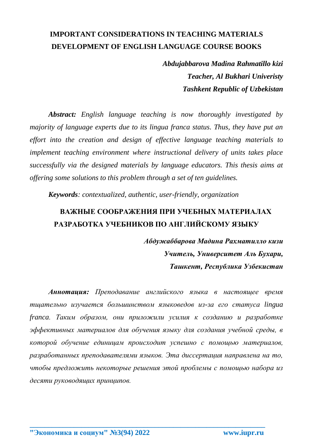### **IMPORTANT CONSIDERATIONS IN TEACHING MATERIALS DEVELOPMENT OF ENGLISH LANGUAGE COURSE BOOKS**

*Abdujabbarova Madina Rahmatillo kizi Teacher, Al Bukhari Univeristy Tashkent Republic of Uzbekistan*

*Abstract: English language teaching is now thoroughly investigated by majority of language experts due to its lingua franca status. Thus, they have put an effort into the creation and design of effective language teaching materials to implement teaching environment where instructional delivery of units takes place successfully via the designed materials by language educators. This thesis aims at offering some solutions to this problem through a set of ten guidelines.*

*Keywords: contextualized, authentic, user-friendly, organization*

### **ВАЖНЫЕ СООБРАЖЕНИЯ ПРИ УЧЕБНЫХ МАТЕРИАЛАХ РАЗРАБОТКА УЧЕБНИКОВ ПО АНГЛИЙСКОМУ ЯЗЫКУ**

*Абдужаббарова Мадина Рахматилло кизи Учитель, Университет Аль Бухари, Ташкент, Республика Узбекистан*

*Аннотация: Преподавание английского языка в настоящее время тщательно изучается большинством языковедов из-за его статуса lingua franca. Таким образом, они приложили усилия к созданию и разработке эффективных материалов для обучения языку для создания учебной среды, в которой обучение единицам происходит успешно с помощью материалов, разработанных преподавателями языков. Эта диссертация направлена на то, чтобы предложить некоторые решения этой проблемы с помощью набора из десяти руководящих принципов.*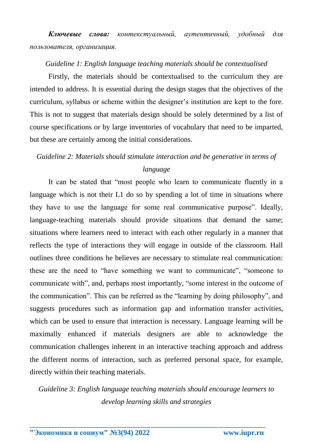*Ключевые слова: контекстуальный, аутентичный, удобный для пользователя, организация.*

#### *Guideline 1: English language teaching materials should be contextualised*

Firstly, the materials should be contextualised to the curriculum they are intended to address. It is essential during the design stages that the objectives of the curriculum, syllabus or scheme within the designer's institution are kept to the fore. This is not to suggest that materials design should be solely determined by a list of course specifications or by large inventories of vocabulary that need to be imparted, but these are certainly among the initial considerations.

# *Guideline 2: Materials should stimulate interaction and be generative in terms of language*

It can be stated that "most people who learn to communicate fluently in a language which is not their L1 do so by spending a lot of time in situations where they have to use the language for some real communicative purpose". Ideally, language-teaching materials should provide situations that demand the same; situations where learners need to interact with each other regularly in a manner that reflects the type of interactions they will engage in outside of the classroom. Hall outlines three conditions he believes are necessary to stimulate real communication: these are the need to "have something we want to communicate", "someone to communicate with", and, perhaps most importantly, "some interest in the outcome of the communication". This can be referred as the "learning by doing philosophy", and suggests procedures such as information gap and information transfer activities, which can be used to ensure that interaction is necessary. Language learning will be maximally enhanced if materials designers are able to acknowledge the communication challenges inherent in an interactive teaching approach and address the different norms of interaction, such as preferred personal space, for example, directly within their teaching materials.

*Guideline 3: English language teaching materials should encourage learners to develop learning skills and strategies*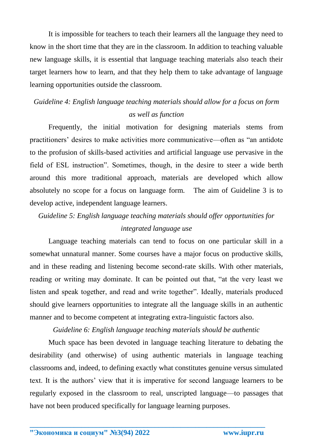It is impossible for teachers to teach their learners all the language they need to know in the short time that they are in the classroom. In addition to teaching valuable new language skills, it is essential that language teaching materials also teach their target learners how to learn, and that they help them to take advantage of language learning opportunities outside the classroom.

### *Guideline 4: English language teaching materials should allow for a focus on form as well as function*

Frequently, the initial motivation for designing materials stems from practitioners' desires to make activities more communicative—often as "an antidote to the profusion of skills-based activities and artificial language use pervasive in the field of ESL instruction". Sometimes, though, in the desire to steer a wide berth around this more traditional approach, materials are developed which allow absolutely no scope for a focus on language form. The aim of Guideline 3 is to develop active, independent language learners.

*Guideline 5: English language teaching materials should offer opportunities for* 

#### *integrated language use*

Language teaching materials can tend to focus on one particular skill in a somewhat unnatural manner. Some courses have a major focus on productive skills, and in these reading and listening become second-rate skills. With other materials, reading or writing may dominate. It can be pointed out that, "at the very least we listen and speak together, and read and write together". Ideally, materials produced should give learners opportunities to integrate all the language skills in an authentic manner and to become competent at integrating extra-linguistic factors also.

#### *Guideline 6: English language teaching materials should be authentic*

Much space has been devoted in language teaching literature to debating the desirability (and otherwise) of using authentic materials in language teaching classrooms and, indeed, to defining exactly what constitutes genuine versus simulated text. It is the authors' view that it is imperative for second language learners to be regularly exposed in the classroom to real, unscripted language—to passages that have not been produced specifically for language learning purposes.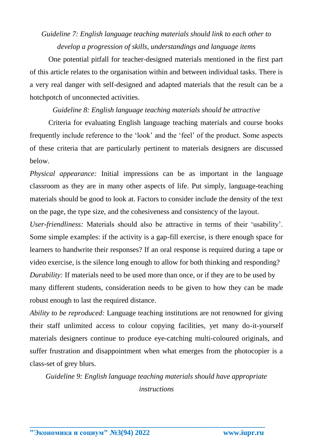# *Guideline 7: English language teaching materials should link to each other to develop a progression of skills, understandings and language items*

One potential pitfall for teacher-designed materials mentioned in the first part of this article relates to the organisation within and between individual tasks. There is a very real danger with self-designed and adapted materials that the result can be a hotchpotch of unconnected activities.

### *Guideline 8: English language teaching materials should be attractive*

Criteria for evaluating English language teaching materials and course books frequently include reference to the 'look' and the 'feel' of the product. Some aspects of these criteria that are particularly pertinent to materials designers are discussed below.

*Physical appearance:* Initial impressions can be as important in the language classroom as they are in many other aspects of life. Put simply, language-teaching materials should be good to look at. Factors to consider include the density of the text on the page, the type size, and the cohesiveness and consistency of the layout.

*User-friendliness:* Materials should also be attractive in terms of their 'usability'. Some simple examples: if the activity is a gap-fill exercise, is there enough space for learners to handwrite their responses? If an oral response is required during a tape or video exercise, is the silence long enough to allow for both thinking and responding? *Durability:* If materials need to be used more than once, or if they are to be used by many different students, consideration needs to be given to how they can be made robust enough to last the required distance.

*Ability to be reproduced:* Language teaching institutions are not renowned for giving their staff unlimited access to colour copying facilities, yet many do-it-yourself materials designers continue to produce eye-catching multi-coloured originals, and suffer frustration and disappointment when what emerges from the photocopier is a class-set of grey blurs.

*Guideline 9: English language teaching materials should have appropriate instructions*